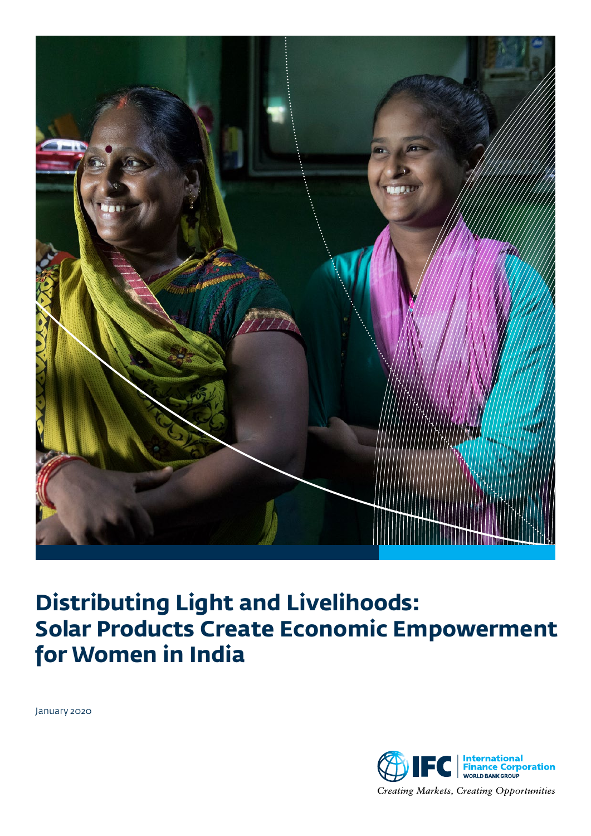

# **Distributing Light and Livelihoods: Solar Products Create Economic Empowerment for Women in India**

January 2020

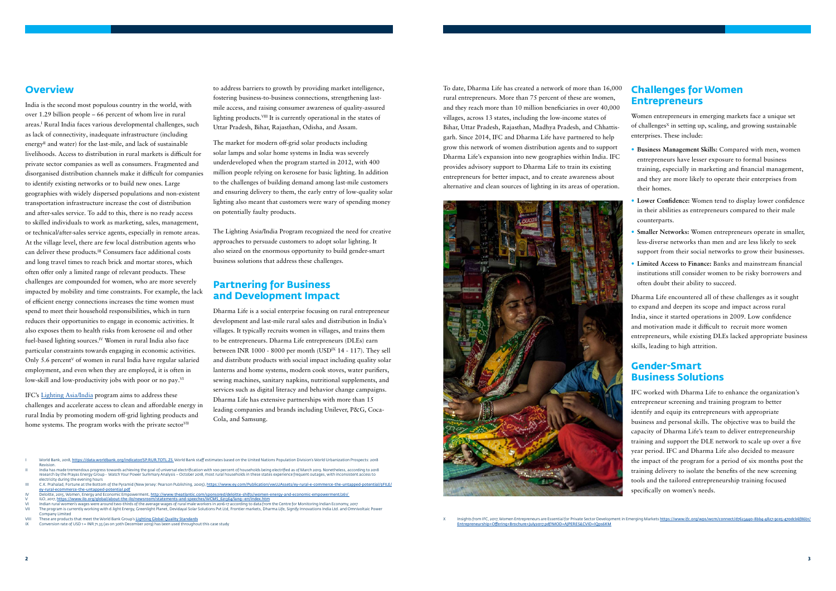India is the second most populous country in the world, with over 1.29 billion people – 66 percent of whom live in rural areas.I Rural India faces various developmental challenges, such as lack of connectivity, inadequate infrastructure (including energy<sup>II</sup> and water) for the last-mile, and lack of sustainable livelihoods. Access to distribution in rural markets is difficult for private sector companies as well as consumers. Fragmented and disorganised distribution channels make it difficult for companies to identify existing networks or to build new ones. Large geographies with widely dispersed populations and non-existent transportation infrastructure increase the cost of distribution and after-sales service. To add to this, there is no ready access to skilled individuals to work as marketing, sales, management, or technical/after-sales service agents, especially in remote areas. At the village level, there are few local distribution agents who can deliver these products.III Consumers face additional costs and long travel times to reach brick and mortar stores, which often offer only a limited range of relevant products. These challenges are compounded for women, who are more severely impacted by mobility and time constraints. For example, the lack of efficient energy connections increases the time women must spend to meet their household responsibilities, which in turn reduces their opportunities to engage in economic activities. It also exposes them to health risks from kerosene oil and other fuel-based lighting sources.<sup>IV</sup> Women in rural India also face particular constraints towards engaging in economic activities. Only 5.6 percent<sup> $V$ </sup> of women in rural India have regular salaried employment, and even when they are employed, it is often in low-skill and low-productivity jobs with poor or no pay.<sup>VI</sup>

### **Overview**

IFC's [Lighting Asia/India](http://lightingasia.org/india) program aims to address these challenges and accelerate access to clean and affordable energy in rural India by promoting modern off-grid lighting products and home systems. The program works with the private sector<sup>VII</sup>

- I World Bank, 2018, <https://data.worldbank.org/indicator/SP.RUR.TOTL.ZS> World Bank staff estimates based on the United Nations Population Division's World Urbanization Prospects: 2018
- Revision.<br>In dia has made tremendous progress towards achieving the goal of universal electrification with 100 percent of households being electrified as of March 2019. Nonetheless, according to 2018<br>In the search by the P electricity during the evening hours
- C.K. Prahalad, Fortune at the Bottom of the Pyramid (New Jersey: Pearson Publishing, 2005), https
- [ey-rural-ecommerce-the-untapped-potential.pdf](https://www.ey.com/Publication/vwLUAssets/ey-rural-e-commerce-the-untapped-potential/$FILE/ey-rural-ecommerce-the-untapped-potential.pdf)<br>Deloitte, 2015, Women, Energy and Economic Empo nt, <u><http://www.theatlantic.com/sponsored/deloitte-shifts/women-energy-and-economic-empowerment/261/></u>
- 
- V l.O, 2017, <u>[https://www.ilo.org/global/about-the-ilo/newsroom/statements-and-speeches/WCMS\\_621364/lang--en/index.htm](https://www.ilo.org/global/about-the-ilo/newsroom/statements-and-speeches/WCMS_621364/lang--en/index.htm)<br>VI Indian rural women's wages were around two-thirds of the average wages of rural male workers in 2016</u> Company Limited
- VIII These are products that meet the World Bank Group's <u>[Lighting Global Quality Standards](https://www.lightingglobal.org/quality-assurance-program/our-standards/)</u><br>IX Conversion rate of USD 1 = INR 71.35 (as on 30th December 2019) has been used throughout this case study

to address barriers to growth by providing market intelligence, fostering business-to-business connections, strengthening lastmile access, and raising consumer awareness of quality-assured lighting products.VIII It is currently operational in the states of Uttar Pradesh, Bihar, Rajasthan, Odisha, and Assam.

The market for modern off-grid solar products including solar lamps and solar home systems in India was severely underdeveloped when the program started in 2012, with 400 million people relying on kerosene for basic lighting. In addition to the challenges of building demand among last-mile customers and ensuring delivery to them, the early entry of low-quality solar lighting also meant that customers were wary of spending money on potentially faulty products.

The Lighting Asia/India Program recognized the need for creative approaches to persuade customers to adopt solar lighting. It also seized on the enormous opportunity to build gender-smart business solutions that address these challenges.

# **Partnering for Business and Development Impact**

Dharma Life is a social enterprise focusing on rural entrepreneur development and last-mile rural sales and distribution in India's villages. It [typically recruits women](http://www.forbesindia.com/article/work-in-progress/dharma-lifes-making-profits-through-rural-entrepreneurs/38116/1) in villages, and trains them to be entrepreneurs. Dharma Life entrepreneurs (DLEs) earn between INR 1000 - 8000 per month (USD<sup>IX</sup> 14 - 117). They sell and distribute products with social impact including quality solar lanterns and home systems, modern cook stoves, water purifiers, sewing machines, sanitary napkins, nutritional supplements, and services such as digital literacy and behavior change campaigns. Dharma Life has extensive partnerships with more than 15 leading companies and brands including Unilever, P&G, Coca-Cola, and Samsung.

To date, Dharma Life has created a network of more than 16,000 rural entrepreneurs. More than 75 percent of these are women, and they reach more than 10 million beneficiaries in over 40,000 villages, across 13 states, including the low-income states of Bihar, Uttar Pradesh, Rajasthan, Madhya Pradesh, and Chhattisgarh. Since 2014, IFC and Dharma Life have partnered to help grow this network of women distribution agents and to support Dharma Life's expansion into new geographies within India. IFC provides advisory support to Dharma Life to train its existing entrepreneurs for better impact, and to create awareness about alternative and clean sources of lighting in its areas of operation.



Insights from IFC, 2017, Women Entrepreneurs are Essential for Private Sector Development in Emerging Markets https://www.ifc.org/wps/wcm/connect/d7623440-8bb4-4827-9ce5-470dcb6f86b Offering+Brochure+July2017.pdf?MOD=AJPERES&CVID=lOps6KM

# **Challenges for Women Entrepreneurs**

Women entrepreneurs in emerging markets face a unique set of challenges<sup> $X$ </sup> in setting up, scaling, and growing sustainable enterprises. These include:

- **• Business Management Skills:** Compared with men, women entrepreneurs have lesser exposure to formal business training, especially in marketing and financial management, and they are more likely to operate their enterprises from their homes.
- **• Lower Confidence:** Women tend to display lower confidence in their abilities as entrepreneurs compared to their male counterparts.
- **• Smaller Networks:** Women entrepreneurs operate in smaller, less-diverse networks than men and are less likely to seek support from their social networks to grow their businesses.
- **• Limited Access to Finance:** Banks and mainstream financial institutions still consider women to be risky borrowers and often doubt their ability to succeed.

Dharma Life encountered all of these challenges as it sought to expand and deepen its scope and impact across rural India, since it started operations in 2009. Low confidence and motivation made it difficult to recruit more women entrepreneurs, while existing DLEs lacked appropriate business skills, leading to high attrition.

# **Gender-Smart Business Solutions**

IFC worked with Dharma Life to enhance the organization's entrepreneur screening and training program to better identify and equip its entrepreneurs with appropriate business and personal skills. The objective was to build the capacity of Dharma Life's team to deliver entrepreneurship training and support the DLE network to scale up over a five year period. IFC and Dharma Life also decided to measure the impact of the program for a period of six months post the training delivery to isolate the benefits of the new screening tools and the tailored entrepreneurship training focused specifically on women's needs.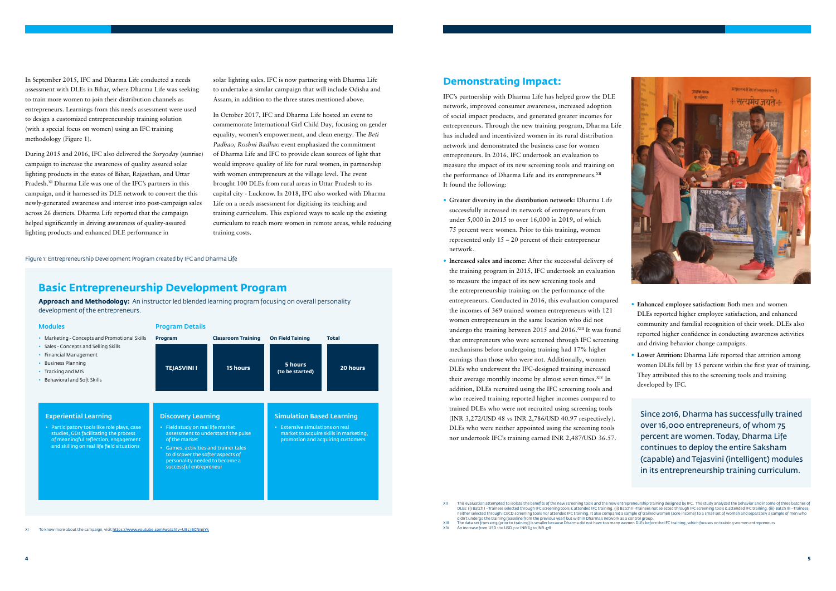

## **Demonstrating Impact:**

IFC's partnership with Dharma Life has helped grow the DLE network, improved consumer awareness, increased adoption of social impact products, and generated greater incomes for entrepreneurs. Through the new training program, Dharma Life has included and incentivized women in its rural distribution network and demonstrated the business case for women entrepreneurs. In 2016, IFC undertook an evaluation to measure the impact of its new screening tools and training on the performance of Dharma Life and its entrepreneurs.<sup>XII</sup> It found the following:

- **• Greater diversity in the distribution network:** Dharma Life successfully increased its network of entrepreneurs from under 5,000 in 2015 to over 16,000 in 2019, of which 75 percent were women. Prior to this training, women represented only 15 – 20 percent of their entrepreneur network.
- **• Increased sales and income:** After the successful delivery of the training program in 2015, IFC undertook an evaluation to measure the impact of its new screening tools and the entrepreneurship training on the performance of the entrepreneurs. Conducted in 2016, this evaluation compared the incomes of 369 trained women entrepreneurs with 121 women entrepreneurs in the same location who did not undergo the training between 2015 and 2016.XIII It was found that entrepreneurs who were screened through IFC screening mechanisms before undergoing training had 17% higher earnings than those who were not. Additionally, women DLEs who underwent the IFC-designed training increased their average monthly income by almost seven times.<sup>XIV</sup> In addition, DLEs recruited using the IFC screening tools and who received training reported higher incomes compared to trained DLEs who were not recruited using screening tools (INR 3,272/USD 48 vs INR 2,786/USD 40.97 respectively). DLEs who were neither appointed using the screening tools nor undertook IFC's training earned INR 2,487/USD 36.57.

XII This evaluation attempted to isolate the benefits of the new screening tools and the new entrepreneurship training designed by IFC. The study analyzed the behavior and income of three batches of the ediches of XIII The data set from 2015 (prior to training) is smaller because Dharma did not have too many women DLEs before the IFC training, which focuses on training women entrepreneurs<br>XIV An increase from USD 1 to USD 7 or INR 6

An increase from USD 1 to USD 7 or INR 63 to INR 478

- **• Enhanced employee satisfaction:** Both men and women DLEs reported higher employee satisfaction, and enhanced community and familial recognition of their work. DLEs also reported higher confidence in conducting awareness activities and driving behavior change campaigns.
- **• Lower Attrition:** Dharma Life reported that attrition among women DLEs fell by 15 percent within the first year of training. They attributed this to the screening tools and training developed by IFC.

In September 2015, IFC and Dharma Life conducted a needs assessment with DLEs in Bihar, where Dharma Life was seeking to train more women to join their distribution channels as entrepreneurs. Learnings from this needs assessment were used to design a customized entrepreneurship training solution (with a special focus on women) using an IFC training methodology (Figure 1).

During 2015 and 2016, IFC also delivered the *Suryoday* (sunrise) campaign to increase the awareness of quality assured solar lighting products in the states of Bihar, Rajasthan, and Uttar Pradesh.<sup>XI</sup> Dharma Life was one of the IFC's partners in this campaign, and it harnessed its DLE network to convert the this newly-generated awareness and interest into post-campaign sales across 26 districts. Dharma Life reported that the campaign helped significantly in driving awareness of quality-assured lighting products and enhanced DLE performance in

solar lighting sales. IFC is now partnering with Dharma Life to undertake a similar campaign that will include Odisha and Assam, in addition to the three states mentioned above.

In October 2017, IFC and Dharma Life hosted an event to commemorate International Girl Child Day, focusing on gender equality, women's empowerment, and clean energy. The *Beti Padhao, Roshni Badhao* event emphasized the commitment of Dharma Life and IFC to provide clean sources of light that would improve quality of life for rural women, in partnership with women entrepreneurs at the village level. The event brought 100 DLEs from rural areas in Uttar Pradesh to its capital city - Lucknow. In 2018, IFC also worked with Dharma Life on a needs assessment for digitizing its teaching and training curriculum. This explored ways to scale up the existing curriculum to reach more women in remote areas, while reducing training costs.

Figure 1: Entrepreneurship Development Program created by IFC and Dharma Life

# **Basic Entrepreneurship Development Program**

**Approach and Methodology:** An instructor led blended learning program focusing on overall personality development of the entrepreneurs.

| <b>Modules</b>                                                                                                                                                                                             | <b>Program Details</b>                                                                                                                                                                                                     |                                       |                                                                     |                                                                             |
|------------------------------------------------------------------------------------------------------------------------------------------------------------------------------------------------------------|----------------------------------------------------------------------------------------------------------------------------------------------------------------------------------------------------------------------------|---------------------------------------|---------------------------------------------------------------------|-----------------------------------------------------------------------------|
| • Marketing - Concepts and Promotional Skills<br>• Sales - Concepts and Selling Skills<br>Financial Management<br>• Business Planning<br>• Tracking and MIS<br>Behavioral and Soft Skills                  | Program<br><b>TEJASVINI I</b>                                                                                                                                                                                              | <b>Classroom Training</b><br>15 hours | <b>On Field Taining</b><br>5 hours<br>(to be started)               | <b>Total</b><br>20 hours                                                    |
| <b>Experiential Learning</b><br>• Participatory tools like role plays, case<br>studies, GDs facilitating the process<br>of meaningful reflection, engagement<br>and skilling on real life field situations | <b>Discovery Learning</b><br>• Field study on real life market<br>of the market<br>• Games, activities and trainer tales<br>to discover the softer aspects of<br>personality needed to become a<br>successful entrepreneur | assessment to understand the pulse    | <b>Simulation Based Learning</b><br>• Extensive simulations on real | market to acquire skills in marketing,<br>promotion and acquiring customers |

Since 2016, Dharma has successfully trained over 16,000 entrepreneurs, of whom 75 percent are women. Today, Dharma Life continues to deploy the entire Saksham (capable) and Tejasvini (intelligent) modules in its entrepreneurship training curriculum.

neither selected through ICECD screening tools nor attended IFC training. It also compared a sample of trained women (2016 income) to a small set of women and separately a sample of men who<br>didn't undergo the training (bas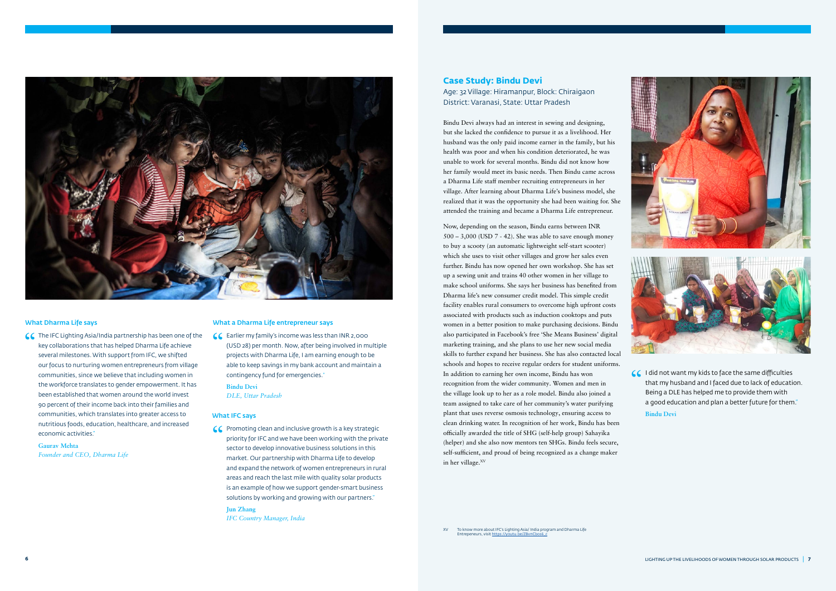

#### What Dharma Life says

CC The IFC Lighting Asia/India partnership has been one of the<br>key collaborations that has helped Dharma Life achieve<br>soveral milostones With support from IFC we shifted key collaborations that has helped Dharma Life achieve several milestones. With support from IFC, we shifted our focus to nurturing women entrepreneurs from village communities, since we believe that including women in the workforce translates to gender empowerment. It has been established that women around the world invest 90 percent of their income back into their families and communities, which translates into greater access to nutritious foods, education, healthcare, and increased economic activities."

CC Earlier my family's income was less than INR 2,000<br>
(USD 28) per month. Now, after being involved in m<br>
projects with Dharma Life. Lam earning enough to l (USD 28) per month. Now, after being involved in multiple projects with Dharma Life, I am earning enough to be able to keep savings in my bank account and maintain a contingency fund for emergencies."

**Gaurav Mehta** *Founder and CEO, Dharma Life*

#### What a Dharma Life entrepreneur says

C Promoting clean and inclusive growth is a key strategic<br>priority for IFC and we have been working with the priva<br>sector to develop inpovative business solutions in this priority for IFC and we have been working with the private sector to develop innovative business solutions in this market. Our partnership with Dharma Life to develop and expand the network of women entrepreneurs in rural areas and reach the last mile with quality solar products is an example of how we support gender-smart business solutions by working and growing with our partners."

**Bindu Devi** *DLE, Uttar Pradesh*

#### What IFC says

Now, depending on the season, Bindu earns between INR 500 – 3,000 (USD 7 - 42). She was able to save enough money to buy a scooty (an automatic lightweight self-start scooter) which she uses to visit other villages and grow her sales even further. Bindu has now opened her own workshop. She has set up a sewing unit and trains 40 other women in her village to make school uniforms. She says her business has benefited from Dharma life's new consumer credit model. This simple credit facility enables rural consumers to overcome high upfront costs associated with products such as induction cooktops and puts women in a better position to make purchasing decisions. Bindu also participated in Facebook's free 'She Means Business' digital marketing training, and she plans to use her new social media skills to further expand her business. She has also contacted local schools and hopes to receive regular orders for student uniforms. In addition to earning her own income, Bindu has won recognition from the wider community. Women and men in the village look up to her as a role model. Bindu also joined a team assigned to take care of her community's water purifying plant that uses reverse osmosis technology, ensuring access to clean drinking water. In recognition of her work, Bindu has been officially awarded the title of SHG (self-help group) Sahayika (helper) and she also now mentors ten SHGs. Bindu feels secure, self-sufficient, and proud of being recognized as a change maker in her village.<sup>XV</sup>

XV To know more about IFC's Lighting Asia/ India program and Dharma Life<br>Entrepeneurs, visit <u>https://youtu.be/ZBvnCbos6\_c</u>



**Jun Zhang** *IFC Country Manager, India* Bindu Devi always had an interest in sewing and designing, but she lacked the confidence to pursue it as a livelihood. Her husband was the only paid income earner in the family, but his health was poor and when his condition deteriorated, he was unable to work for several months. Bindu did not know how her family would meet its basic needs. Then Bindu came across a Dharma Life staff member recruiting entrepreneurs in her village. After learning about Dharma Life's business model, she realized that it was the opportunity she had been waiting for. She attended the training and became a Dharma Life entrepreneur.

> CC I did not want my kids to face the same difficulties<br>that my husband and I faced due to lack of educati that my husband and I faced due to lack of education. Being a DLE has helped me to provide them with a good education and plan a better future for them."

#### **Case Study: Bindu Devi**

Age: 32 Village: Hiramanpur, Block: Chiraigaon District: Varanasi, State: Uttar Pradesh

**Bindu Devi**